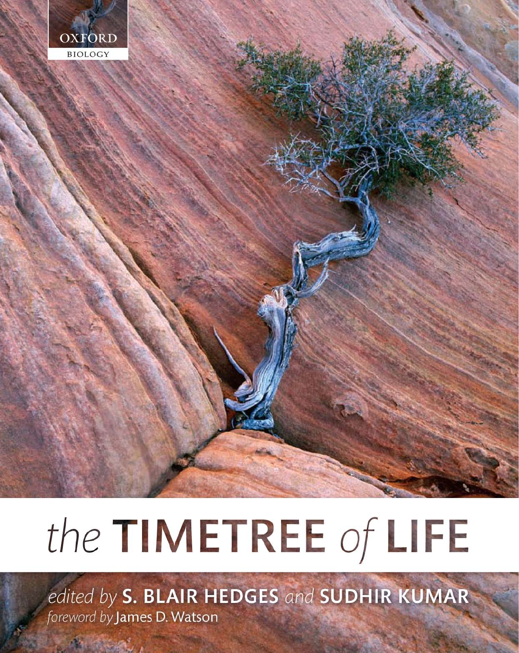

# the TIMETREE of LIFE

edited by S. BLAIR HEDGES and SUDHIR KUMAR foreword by James D. Watson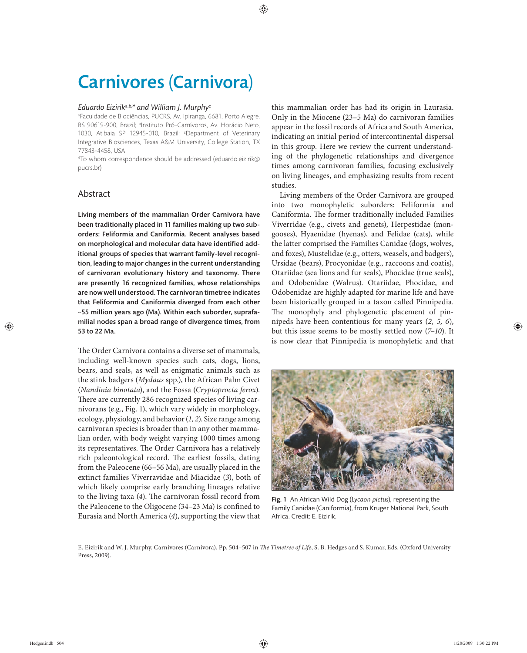# Carnivores (Carnivora)

# *Eduardo Eizirik*a,b,*\* and William J. Murphy*<sup>c</sup>

a Faculdade de Biociências, PUCRS, Av. Ipiranga, 6681, Porto Alegre, RS 90619-900, Brazil; <sup>b</sup>Instituto Pró-Carnívoros, Av. Horácio Neto, 1030, Atibaia SP 12945-010, Brazil; <sup>c</sup>Department of Veterinary Integrative Biosciences, Texas A&M University, College Station, TX 77843-4458, USA

\*To whom correspondence should be addressed (eduardo.eizirik@ pucrs.br)

# Abstract

Living members of the mammalian Order Carnivora have been traditionally placed in 11 families making up two suborders: Feliformia and Caniformia. Recent analyses based on morphological and molecular data have identified additional groups of species that warrant family-level recognition, leading to major changes in the current understanding of carnivoran evolutionary history and taxonomy. There are presently 16 recognized families, whose relationships are now well understood. The carnivoran timetree indicates that Feliformia and Caniformia diverged from each other *~*55 million years ago (Ma). Within each suborder, suprafamilial nodes span a broad range of divergence times, from 53 to 22 Ma.

The Order Carnivora contains a diverse set of mammals, including well-known species such cats, dogs, lions, bears, and seals, as well as enigmatic animals such as the stink badgers (*Mydaus* spp.), the African Palm Civet (*Nandinia binotata*), and the Fossa (*Cryptoprocta ferox*). There are currently 286 recognized species of living carnivorans (e.g., Fig. 1), which vary widely in morphology, ecology, physiology, and behavior (*1, 2*). Size range among carnivoran species is broader than in any other mammalian order, with body weight varying 1000 times among its representatives. The Order Carnivora has a relatively rich paleontological record. The earliest fossils, dating from the Paleocene (66–56 Ma), are usually placed in the extinct families Viverravidae and Miacidae (*3*), both of which likely comprise early branching lineages relative to the living taxa (4). The carnivoran fossil record from the Paleocene to the Oligocene (34–23 Ma) is confined to Eurasia and North America (*4*), supporting the view that

this mammalian order has had its origin in Laurasia. Only in the Miocene (23–5 Ma) do carnivoran families appear in the fossil records of Africa and South America, indicating an initial period of intercontinental dispersal in this group. Here we review the current understanding of the phylogenetic relationships and divergence times among carnivoran families, focusing exclusively on living lineages, and emphasizing results from recent studies.

Living members of the Order Carnivora are grouped into two monophyletic suborders: Feliformia and Caniformia. The former traditionally included Families Viverridae (e.g., civets and genets), Herpestidae (mongooses), Hyaenidae (hyenas), and Felidae (cats), while the latter comprised the Families Canidae (dogs, wolves, and foxes), Mustelidae (e.g., otters, weasels, and badgers), Ursidae (bears), Procyonidae (e.g., raccoons and coatis), Otariidae (sea lions and fur seals), Phocidae (true seals), and Odobenidae (Walrus). Otariidae, Phocidae, and Odobenidae are highly adapted for marine life and have been historically grouped in a taxon called Pinnipedia. The monophyly and phylogenetic placement of pinnipeds have been contentious for many years (2, 5, 6), but this issue seems to be mostly settled now (*7–10*). It is now clear that Pinnipedia is monophyletic and that



Fig. 1 An African Wild Dog (*Lycaon pictus*), representing the Family Canidae (Caniformia), from Kruger National Park, South Africa. Credit: E. Eizirik.

E. Eizirik and W. J. Murphy. Carnivores (Carnivora). Pp. 504-507 in *The Timetree of Life*, S. B. Hedges and S. Kumar, Eds. (Oxford University Press, 2009).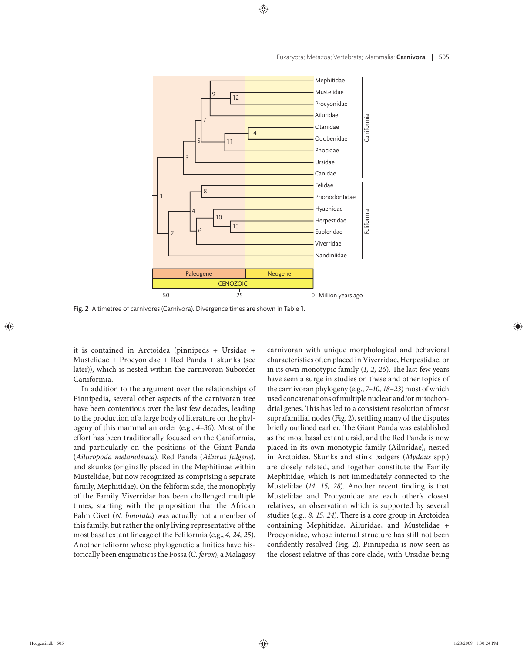

Fig. 2 A timetree of carnivores (Carnivora). Divergence times are shown in Table 1.

it is contained in Arctoidea (pinnipeds + Ursidae + Mustelidae + Procyonidae + Red Panda + skunks (see later)), which is nested within the carnivoran Suborder Caniformia.

In addition to the argument over the relationships of Pinnipedia, several other aspects of the carnivoran tree have been contentious over the last few decades, leading to the production of a large body of literature on the phylogeny of this mammalian order (e.g., *4–30*). Most of the effort has been traditionally focused on the Caniformia, and particularly on the positions of the Giant Panda (*Ailuropoda melanoleuca*), Red Panda (*Ailurus fulgens*), and skunks (originally placed in the Mephitinae within Mustelidae, but now recognized as comprising a separate family, Mephitidae). On the feliform side, the monophyly of the Family Viverridae has been challenged multiple times, starting with the proposition that the African Palm Civet (*N. binotata*) was actually not a member of this family, but rather the only living representative of the most basal extant lineage of the Feliformia (e.g., *4, 24, 25*). Another feliform whose phylogenetic affinities have historically been enigmatic is the Fossa (*C. ferox*), a Malagasy

carnivoran with unique morphological and behavioral characteristics often placed in Viverridae, Herpestidae, or in its own monotypic family (1, 2, 26). The last few years have seen a surge in studies on these and other topics of the carnivoran phylogeny (e.g., *7–10, 18–23*) most of which used concatenations of multiple nuclear and/or mitochondrial genes. This has led to a consistent resolution of most suprafamilial nodes (Fig. 2), settling many of the disputes briefly outlined earlier. The Giant Panda was established as the most basal extant ursid, and the Red Panda is now placed in its own monotypic family (Ailuridae), nested in Arctoidea. Skunks and stink badgers (*Mydaus* spp.) are closely related, and together constitute the Family Mephitidae, which is not immediately connected to the Mustelidae (14, 15, 28). Another recent finding is that Mu stelidae and Procyonidae are each other's closest relatives, an observation which is supported by several studies (e.g., 8, 15, 24). There is a core group in Arctoidea containing Mephitidae, Ailuridae, and Mustelidae + Procyonidae, whose internal structure has still not been confidently resolved (Fig. 2). Pinnipedia is now seen as the closest relative of this core clade, with Ursidae being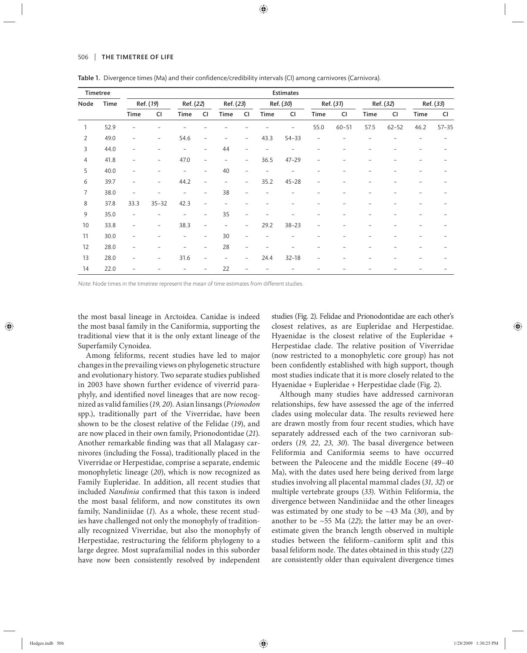#### 506 THE TIMETREE OF LIFE

| Timetree       |      | <b>Estimates</b>         |                          |                          |                          |                          |                          |                          |                          |                          |           |                          |           |                          |           |
|----------------|------|--------------------------|--------------------------|--------------------------|--------------------------|--------------------------|--------------------------|--------------------------|--------------------------|--------------------------|-----------|--------------------------|-----------|--------------------------|-----------|
| Node           | Time | Ref. (19)                |                          | Ref. (22)                |                          | Ref. (23)                |                          | Ref. (30)                |                          | Ref. (31)                |           | Ref. (32)                |           | Ref. (33)                |           |
|                |      | Time                     | CI                       | Time                     | CI                       | Time                     | CI                       | Time                     | CI                       | Time                     | CI        | <b>Time</b>              | <b>CI</b> | Time                     | CI        |
| $\mathbf{1}$   | 52.9 | $\overline{\phantom{0}}$ |                          |                          |                          |                          |                          |                          | $\overline{\phantom{a}}$ | 55.0                     | $60 - 51$ | 57.5                     | $62 - 52$ | 46.2                     | $57 - 35$ |
| 2              | 49.0 | $\overline{\phantom{0}}$ | $\qquad \qquad -$        | 54.6                     | $\overline{\phantom{0}}$ | $\overline{\phantom{0}}$ | $\overline{\phantom{a}}$ | 43.3                     | $54 - 33$                | $\qquad \qquad -$        |           | ۰                        |           | $\overline{\phantom{0}}$ |           |
| 3              | 44.0 | $\overline{a}$           | -                        | $\qquad \qquad -$        | $\overline{\phantom{0}}$ | 44                       | $\overline{\phantom{a}}$ | $\qquad \qquad -$        | $\overline{\phantom{0}}$ | -                        |           | $\qquad \qquad -$        |           |                          |           |
| 4              | 41.8 | $\overline{a}$           | $\qquad \qquad -$        | 47.0                     | $\overline{\phantom{0}}$ | $\qquad \qquad -$        | $\overline{\phantom{a}}$ | 36.5                     | $47 - 29$                | $\overline{\phantom{0}}$ |           | -                        |           |                          |           |
| 5              | 40.0 | $\overline{\phantom{0}}$ |                          | $\overline{\phantom{0}}$ | $\overline{a}$           | 40                       | $\overline{\phantom{a}}$ | $\overline{\phantom{a}}$ | $\overline{\phantom{0}}$ |                          |           |                          |           |                          |           |
| 6              | 39.7 | Ξ.                       | $\overline{\phantom{0}}$ | 44.2                     | $\overline{\phantom{a}}$ | $\qquad \qquad -$        | $\overline{\phantom{a}}$ | 35.2                     | $45 - 28$                | $\overline{\phantom{0}}$ |           | -                        |           | -                        |           |
| $\overline{7}$ | 38.0 | $\overline{\phantom{0}}$ | -                        | $\overline{\phantom{0}}$ | $\overline{\phantom{0}}$ | 38                       | $\overline{\phantom{a}}$ | $\qquad \qquad$          |                          | -                        |           |                          |           |                          |           |
| 8              | 37.8 | 33.3                     | $35 - 32$                | 42.3                     | $\overline{\phantom{0}}$ | $\overline{\phantom{0}}$ |                          |                          |                          |                          |           |                          |           |                          |           |
| 9              | 35.0 | Ξ.                       | $\qquad \qquad -$        | $\overline{\phantom{0}}$ | $\overline{\phantom{0}}$ | 35                       | $\overline{\phantom{a}}$ |                          |                          |                          |           | $\overline{\phantom{0}}$ |           |                          |           |
| 10             | 33.8 | $\overline{a}$           | $\qquad \qquad -$        | 38.3                     | $\overline{\phantom{0}}$ | $\qquad \qquad -$        | $\overline{\phantom{a}}$ | 29.2                     | $38 - 23$                | $\overline{\phantom{0}}$ |           |                          |           |                          |           |
| 11             | 30.0 | $\overline{\phantom{0}}$ |                          |                          | $\overline{\phantom{0}}$ | 30                       | $\overline{\phantom{0}}$ |                          |                          |                          |           |                          |           |                          |           |
| 12             | 28.0 | $\overline{\phantom{m}}$ | -                        | $\overline{\phantom{0}}$ | $\overline{\phantom{0}}$ | 28                       | $\overline{\phantom{a}}$ | $\overline{\phantom{0}}$ | $\overline{\phantom{0}}$ |                          |           |                          |           |                          |           |
| 13             | 28.0 | $\overline{\phantom{0}}$ | $\qquad \qquad -$        | 31.6                     | $\overline{\phantom{0}}$ | $\qquad \qquad -$        | $\qquad \qquad -$        | 24.4                     | $32 - 18$                | -                        |           |                          |           |                          |           |
| 14             | 22.0 |                          |                          |                          |                          | 22                       |                          |                          |                          |                          |           |                          |           |                          |           |

Table 1. Divergence times (Ma) and their confidence/credibility intervals (CI) among carnivores (Carnivora).

Note: Node times in the timetree represent the mean of time estimates from different studies.

the most basal lineage in Arctoidea. Canidae is indeed the most basal family in the Caniformia, supporting the traditional view that it is the only extant lineage of the Superfamily Cynoidea.

Among feliforms, recent studies have led to major changes in the prevailing views on phylogenetic structure and evolutionary history. Two separate studies published in 2003 have shown further evidence of viverrid paraphyly, and identified novel lineages that are now recognized as valid families (*19, 20*). Asian linsangs (*Prionodon* spp.), traditionally part of the Viverridae, have been shown to be the closest relative of the Felidae (*19*), and are now placed in their own family, Prionodontidae (*21*). Another remarkable finding was that all Malagasy carnivores (including the Fossa), traditionally placed in the Viverridae or Herpestidae, comprise a separate, endemic monophyletic lineage (*20*), which is now recognized as Family Eupleridae. In addition, all recent studies that included *Nandinia* confirmed that this taxon is indeed the most basal feliform, and now constitutes its own family, Nandiniidae (1). As a whole, these recent studies have challenged not only the monophyly of traditionally recognized Viverridae, but also the monophyly of Herpestidae, restructuring the feliform phylogeny to a large degree. Most suprafamilial nodes in this suborder have now been consistently resolved by independent

studies (Fig. 2). Felidae and Prionodontidae are each other's closest relatives, as are Eupleridae and Herpestidae. Hyaenidae is the closest relative of the Eupleridae  $+$ Herpestidae clade. The relative position of Viverridae (now restricted to a monophyletic core group) has not been confidently established with high support, though most studies indicate that it is more closely related to the Hyaenidae + Eupleridae + Herpestidae clade (Fig. 2).

Although many studies have addressed carnivoran relationships, few have assessed the age of the inferred clades using molecular data. The results reviewed here are drawn mostly from four recent studies, which have separately addressed each of the two carnivoran suborders (19, 22, 23, 30). The basal divergence between Feliformia and Caniformia seems to have occurred between the Paleocene and the middle Eocene (49–40 Ma), with the dates used here being derived from large studies involving all placental mammal clades (*31, 32*) or multiple vertebrate groups (*33*). Within Feliformia, the divergence between Nandiniidae and the other lineages was estimated by one study to be ~43 Ma (*30*), and by another to be ~55 Ma (*22*); the latter may be an overestimate given the branch length observed in multiple stu dies between the feliform–caniform split and this basal feliform node. The dates obtained in this study (22) are consistently older than equivalent divergence times